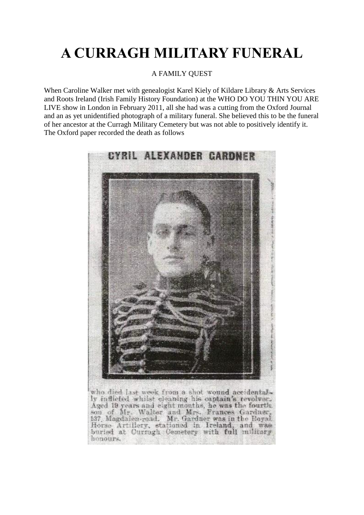## **A CURRAGH MILITARY FUNERAL**

## A FAMILY QUEST

When Caroline Walker met with genealogist Karel Kiely of Kildare Library & Arts Services and Roots Ireland (Irish Family History Foundation) at the WHO DO YOU THIN YOU ARE LIVE show in London in February 2011, all she had was a cutting from the Oxford Journal and an as yet unidentified photograph of a military funeral. She believed this to be the funeral of her ancestor at the Curragh Military Cemetery but was not able to positively identify it. The Oxford paper recorded the death as follows



who died last week from a shot wound accidentally inflicted whilst eleaning his captain's revolver. Aged 19 years and eight months, he was the fourth.<br>son, of Mr. Walter and Mrs. Frances Gardner. 137, Magdalen-road. Mr. Gardner was in the Royal Horse Artillery, stationed in Ireland, and was hemours.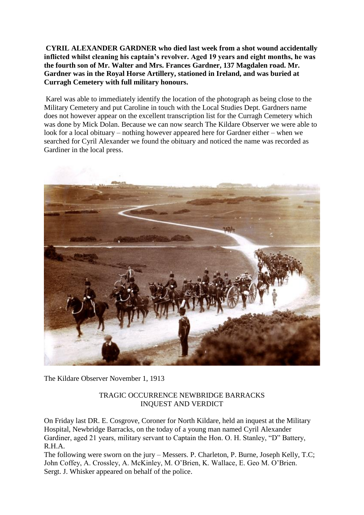**CYRIL ALEXANDER GARDNER who died last week from a shot wound accidentally inflicted whilst cleaning his captain's revolver. Aged 19 years and eight months, he was the fourth son of Mr. Walter and Mrs. Frances Gardner, 137 Magdalen road. Mr. Gardner was in the Royal Horse Artillery, stationed in Ireland, and was buried at Curragh Cemetery with full military honours.**

Karel was able to immediately identify the location of the photograph as being close to the Military Cemetery and put Caroline in touch with the Local Studies Dept. Gardners name does not however appear on the excellent transcription list for the Curragh Cemetery which was done by Mick Dolan. Because we can now search The Kildare Observer we were able to look for a local obituary – nothing however appeared here for Gardner either – when we searched for Cyril Alexander we found the obituary and noticed the name was recorded as Gardiner in the local press.



The Kildare Observer November 1, 1913

## TRAGIC OCCURRENCE NEWBRIDGE BARRACKS INQUEST AND VERDICT

On Friday last DR. E. Cosgrove, Coroner for North Kildare, held an inquest at the Military Hospital, Newbridge Barracks, on the today of a young man named Cyril Alexander Gardiner, aged 21 years, military servant to Captain the Hon. O. H. Stanley, "D" Battery, R.H.A.

The following were sworn on the jury – Messers. P. Charleton, P. Burne, Joseph Kelly, T.C; John Coffey, A. Crossley, A. McKinley, M. O'Brien, K. Wallace, E. Geo M. O'Brien. Sergt. J. Whisker appeared on behalf of the police.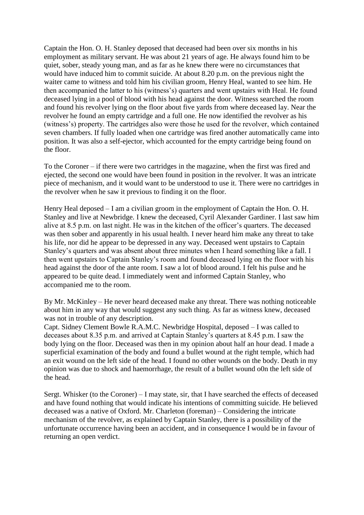Captain the Hon. O. H. Stanley deposed that deceased had been over six months in his employment as military servant. He was about 21 years of age. He always found him to be quiet, sober, steady young man, and as far as he knew there were no circumstances that would have induced him to commit suicide. At about 8.20 p.m. on the previous night the waiter came to witness and told him his civilian groom, Henry Heal, wanted to see him. He then accompanied the latter to his (witness's) quarters and went upstairs with Heal. He found deceased lying in a pool of blood with his head against the door. Witness searched the room and found his revolver lying on the floor about five yards from where deceased lay. Near the revolver he found an empty cartridge and a full one. He now identified the revolver as his (witness's) property. The cartridges also were those he used for the revolver, which contained seven chambers. If fully loaded when one cartridge was fired another automatically came into position. It was also a self-ejector, which accounted for the empty cartridge being found on the floor.

To the Coroner – if there were two cartridges in the magazine, when the first was fired and ejected, the second one would have been found in position in the revolver. It was an intricate piece of mechanism, and it would want to be understood to use it. There were no cartridges in the revolver when he saw it previous to finding it on the floor.

Henry Heal deposed – I am a civilian groom in the employment of Captain the Hon. O. H. Stanley and live at Newbridge. I knew the deceased, Cyril Alexander Gardiner. I last saw him alive at 8.5 p.m. on last night. He was in the kitchen of the officer's quarters. The deceased was then sober and apparently in his usual health. I never heard him make any threat to take his life, nor did he appear to be depressed in any way. Deceased went upstairs to Captain Stanley's quarters and was absent about three minutes when I heard something like a fall. I then went upstairs to Captain Stanley's room and found deceased lying on the floor with his head against the door of the ante room. I saw a lot of blood around. I felt his pulse and he appeared to be quite dead. I immediately went and informed Captain Stanley, who accompanied me to the room.

By Mr. McKinley – He never heard deceased make any threat. There was nothing noticeable about him in any way that would suggest any such thing. As far as witness knew, deceased was not in trouble of any description.

Capt. Sidney Clement Bowle R.A.M.C. Newbridge Hospital, deposed – I was called to deceases about 8.35 p.m. and arrived at Captain Stanley's quarters at 8.45 p.m. I saw the body lying on the floor. Deceased was then in my opinion about half an hour dead. I made a superficial examination of the body and found a bullet wound at the right temple, which had an exit wound on the left side of the head. I found no other wounds on the body. Death in my opinion was due to shock and haemorrhage, the result of a bullet wound o0n the left side of the head.

Sergt. Whisker (to the Coroner) – I may state, sir, that I have searched the effects of deceased and have found nothing that would indicate his intentions of committing suicide. He believed deceased was a native of Oxford. Mr. Charleton (foreman) – Considering the intricate mechanism of the revolver, as explained by Captain Stanley, there is a possibility of the unfortunate occurrence having been an accident, and in consequence I would be in favour of returning an open verdict.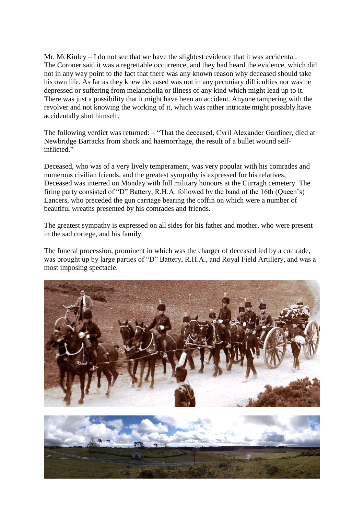Mr. McKinley – I do not see that we have the slightest evidence that it was accidental. The Coroner said it was a regrettable occurrence, and they had heard the evidence, which did not in any way point to the fact that there was any known reason why deceased should take his own life. As far as they knew deceased was not in any pecuniary difficulties nor was he depressed or suffering from melancholia or illness of any kind which might lead up to it. There was just a possibility that it might have been an accident. Anyone tampering with the revolver and not knowing the working of it, which was rather intricate might possibly have accidentally shot himself.

The following verdict was returned: – "That the deceased, Cyril Alexander Gardiner, died at Newbridge Barracks from shock and haemorrhage, the result of a bullet wound selfinflicted."

Deceased, who was of a very lively temperament, was very popular with his comrades and numerous civilian friends, and the greatest sympathy is expressed for his relatives. Deceased was interred on Monday with full military honours at the Curragh cemetery. The firing party consisted of "D" Battery, R.H.A. followed by the band of the 16th (Queen's) Lancers, who preceded the gun carriage bearing the coffin on which were a number of beautiful wreaths presented by his comrades and friends.

The greatest sympathy is expressed on all sides for his father and mother, who were present in the sad cortege, and his family.

The funeral procession, prominent in which was the charger of deceased led by a comrade, was brought up by large parties of "D" Battery, R.H.A., and Royal Field Artillery, and was a most imposing spectacle.